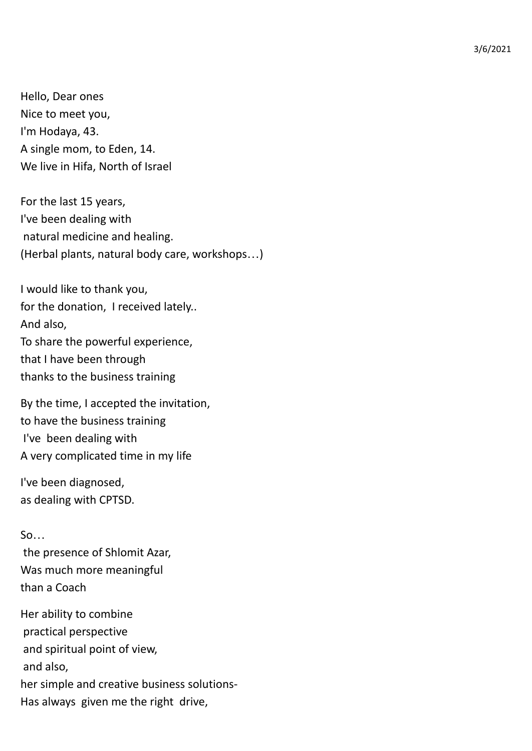3/6/2021

Hello, Dear ones Nice to meet you, I'm Hodaya, 43. A single mom, to Eden, 14. We live in Hifa, North of Israel

For the last 15 years, I've been dealing with natural medicine and healing. (Herbal plants, natural body care, workshops…)

I would like to thank you, for the donation, I received lately.. And also, To share the powerful experience, that I have been through thanks to the business training

By the time, I accepted the invitation, to have the business training I've been dealing with A very complicated time in my life

I've been diagnosed, as dealing with CPTSD.

 $So...$ the presence of Shlomit Azar, Was much more meaningful than a Coach

Her ability to combine practical perspective and spiritual point of view, and also, her simple and creative business solutions-Has always given me the right drive,